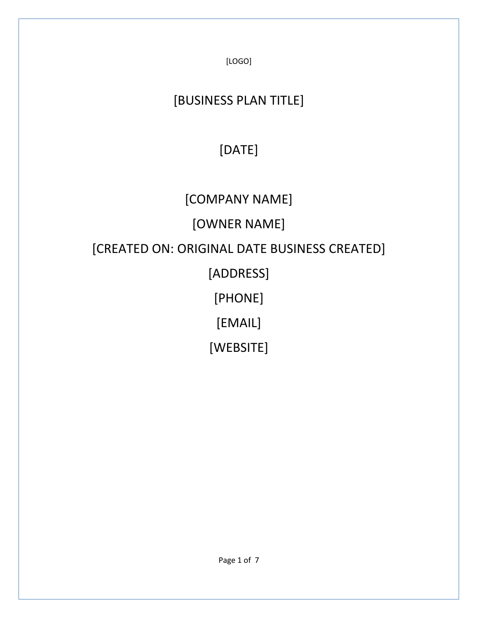[LOGO]

## [BUSINESS PLAN TITLE]

# [DATE]

## [COMPANY NAME]

# [OWNER NAME]

## [CREATED ON: ORIGINAL DATE BUSINESS CREATED]

## [ADDRESS]

# [PHONE]

## [EMAIL]

## [WEBSITE]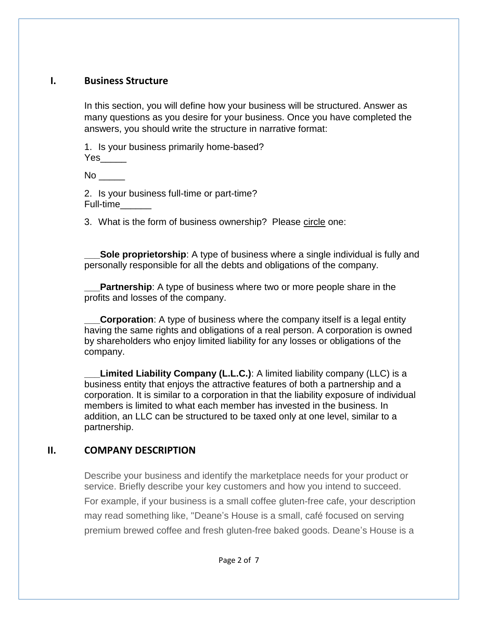#### **I. Business Structure**

In this section, you will define how your business will be structured. Answer as many questions as you desire for your business. Once you have completed the answers, you should write the structure in narrative format:

1. Is your business primarily home-based? Yes\_\_\_\_\_

 $No$ 

2. Is your business full-time or part-time? Full-time\_\_\_\_\_\_

3. What is the form of business ownership? Please circle one:

**Sole proprietorship**: A type of business where a single individual is fully and personally responsible for all the debts and obligations of the company.

**Partnership**: A type of business where two or more people share in the profits and losses of the company.

**Corporation:** A type of business where the company itself is a legal entity having the same rights and obligations of a real person. A corporation is owned by shareholders who enjoy limited liability for any losses or obligations of the company.

**Limited Liability Company (L.L.C.)**: A limited liability company (LLC) is a business entity that enjoys the attractive features of both a partnership and a corporation. It is similar to a corporation in that the liability exposure of individual members is limited to what each member has invested in the business. In addition, an LLC can be structured to be taxed only at one level, similar to a partnership.

#### **II. COMPANY DESCRIPTION**

Describe your business and identify the marketplace needs for your product or service. Briefly describe your key customers and how you intend to succeed. For example, if your business is a small coffee gluten-free cafe, your description may read something like, "Deane's House is a small, café focused on serving premium brewed coffee and fresh gluten-free baked goods. Deane's House is a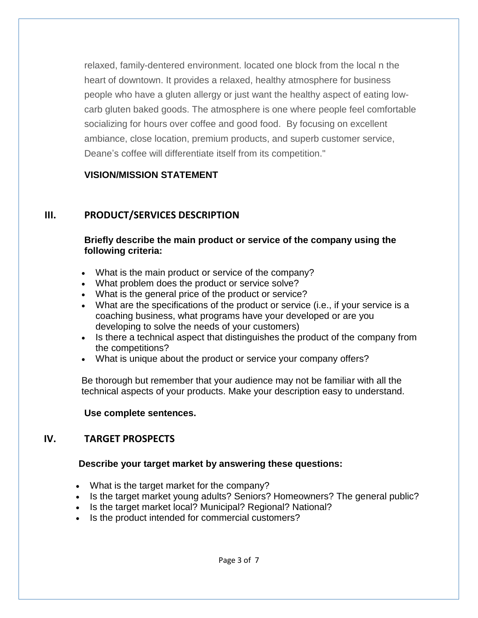relaxed, family-dentered environment. located one block from the local n the heart of downtown. It provides a relaxed, healthy atmosphere for business people who have a gluten allergy or just want the healthy aspect of eating lowcarb gluten baked goods. The atmosphere is one where people feel comfortable socializing for hours over coffee and good food. By focusing on excellent ambiance, close location, premium products, and superb customer service, Deane's coffee will differentiate itself from its competition."

#### **VISION/MISSION STATEMENT**

### **III. PRODUCT/SERVICES DESCRIPTION**

#### **Briefly describe the main product or service of the company using the following criteria:**

- What is the main product or service of the company?
- What problem does the product or service solve?
- What is the general price of the product or service?
- What are the specifications of the product or service (i.e., if your service is a coaching business, what programs have your developed or are you developing to solve the needs of your customers)
- Is there a technical aspect that distinguishes the product of the company from the competitions?
- What is unique about the product or service your company offers?

Be thorough but remember that your audience may not be familiar with all the technical aspects of your products. Make your description easy to understand.

#### **Use complete sentences.**

### **IV. TARGET PROSPECTS**

#### **Describe your target market by answering these questions:**

- What is the target market for the company?
- Is the target market young adults? Seniors? Homeowners? The general public?
- Is the target market local? Municipal? Regional? National?
- Is the product intended for commercial customers?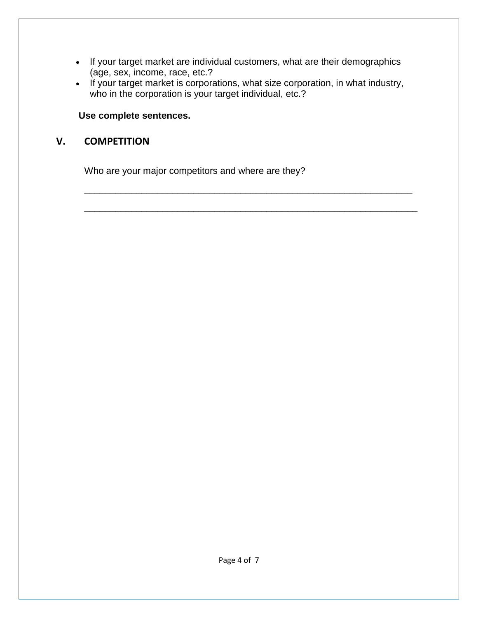- If your target market are individual customers, what are their demographics (age, sex, income, race, etc.?
- If your target market is corporations, what size corporation, in what industry, who in the corporation is your target individual, etc.?

\_\_\_\_\_\_\_\_\_\_\_\_\_\_\_\_\_\_\_\_\_\_\_\_\_\_\_\_\_\_\_\_\_\_\_\_\_\_\_\_\_\_\_\_\_\_\_\_\_\_\_\_\_\_\_\_\_\_\_\_\_\_\_

\_\_\_\_\_\_\_\_\_\_\_\_\_\_\_\_\_\_\_\_\_\_\_\_\_\_\_\_\_\_\_\_\_\_\_\_\_\_\_\_\_\_\_\_\_\_\_\_\_\_\_\_\_\_\_\_\_\_\_\_\_\_\_\_

### **Use complete sentences.**

### **V. COMPETITION**

Who are your major competitors and where are they?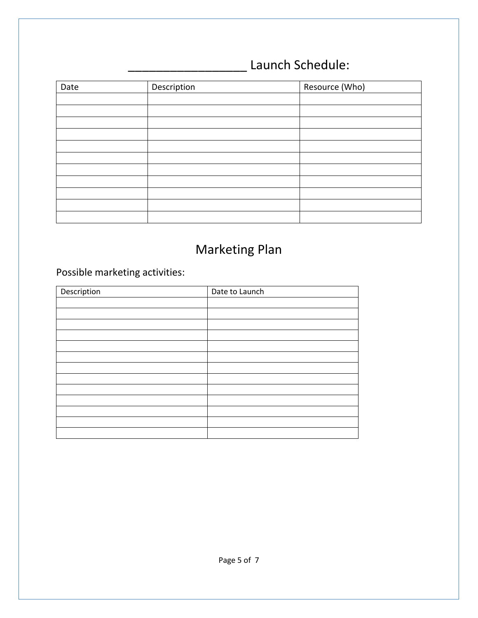### \_\_\_\_\_\_\_\_\_\_\_\_\_\_\_\_\_ Launch Schedule:

| Date | Description | Resource (Who) |  |
|------|-------------|----------------|--|
|      |             |                |  |
|      |             |                |  |
|      |             |                |  |
|      |             |                |  |
|      |             |                |  |
|      |             |                |  |
|      |             |                |  |
|      |             |                |  |
|      |             |                |  |
|      |             |                |  |
|      |             |                |  |

### Marketing Plan

### Possible marketing activities:

| Description | Date to Launch |  |
|-------------|----------------|--|
|             |                |  |
|             |                |  |
|             |                |  |
|             |                |  |
|             |                |  |
|             |                |  |
|             |                |  |
|             |                |  |
|             |                |  |
|             |                |  |
|             |                |  |
|             |                |  |
|             |                |  |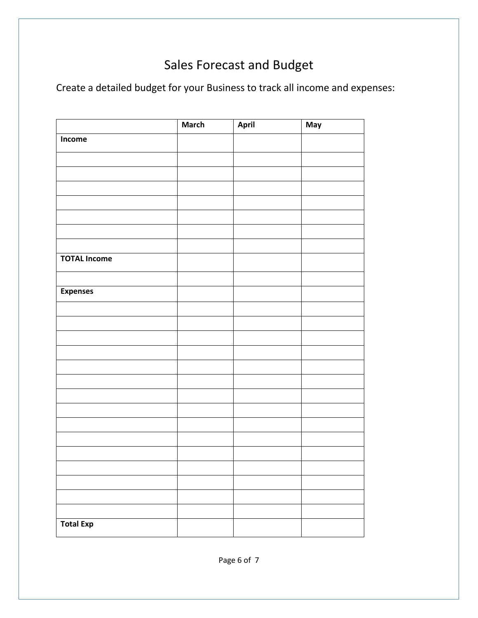### Sales Forecast and Budget

Create a detailed budget for your Business to track all income and expenses:

|                     | <b>March</b> | April | May |
|---------------------|--------------|-------|-----|
| Income              |              |       |     |
|                     |              |       |     |
|                     |              |       |     |
|                     |              |       |     |
|                     |              |       |     |
|                     |              |       |     |
|                     |              |       |     |
|                     |              |       |     |
| <b>TOTAL Income</b> |              |       |     |
|                     |              |       |     |
| <b>Expenses</b>     |              |       |     |
|                     |              |       |     |
|                     |              |       |     |
|                     |              |       |     |
|                     |              |       |     |
|                     |              |       |     |
|                     |              |       |     |
|                     |              |       |     |
|                     |              |       |     |
|                     |              |       |     |
|                     |              |       |     |
|                     |              |       |     |
|                     |              |       |     |
|                     |              |       |     |
|                     |              |       |     |
| <b>Total Exp</b>    |              |       |     |
|                     |              |       |     |